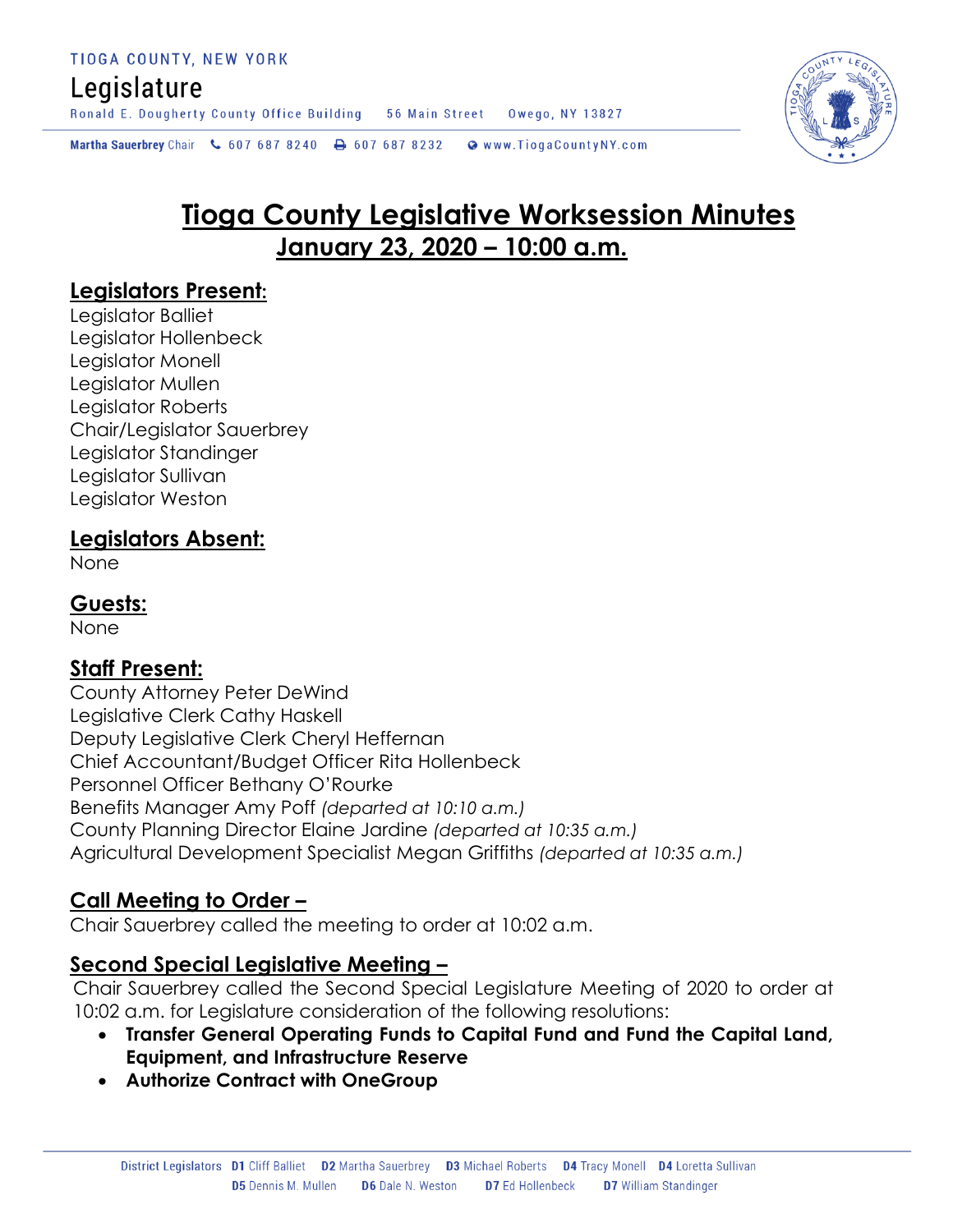# Legislature

Ronald E. Dougherty County Office Building 56 Main Street Owego, NY 13827

Martha Sauerbrey Chair & 607 687 8240 \ 607 687 8232 \ @ www.TiogaCountyNY.com

# **Tioga County Legislative Worksession Minutes January 23, 2020 – 10:00 a.m.**

#### **Legislators Present:**

Legislator Balliet Legislator Hollenbeck Legislator Monell Legislator Mullen Legislator Roberts Chair/Legislator Sauerbrey Legislator Standinger Legislator Sullivan Legislator Weston

#### **Legislators Absent:**

None

#### **Guests:**

None

#### **Staff Present:**

County Attorney Peter DeWind Legislative Clerk Cathy Haskell Deputy Legislative Clerk Cheryl Heffernan Chief Accountant/Budget Officer Rita Hollenbeck Personnel Officer Bethany O'Rourke Benefits Manager Amy Poff *(departed at 10:10 a.m.)* County Planning Director Elaine Jardine *(departed at 10:35 a.m.)* Agricultural Development Specialist Megan Griffiths *(departed at 10:35 a.m.)*

#### **Call Meeting to Order –**

Chair Sauerbrey called the meeting to order at 10:02 a.m.

#### **Second Special Legislative Meeting –**

Chair Sauerbrey called the Second Special Legislature Meeting of 2020 to order at 10:02 a.m. for Legislature consideration of the following resolutions:

- **Transfer General Operating Funds to Capital Fund and Fund the Capital Land, Equipment, and Infrastructure Reserve**
- **Authorize Contract with OneGroup**

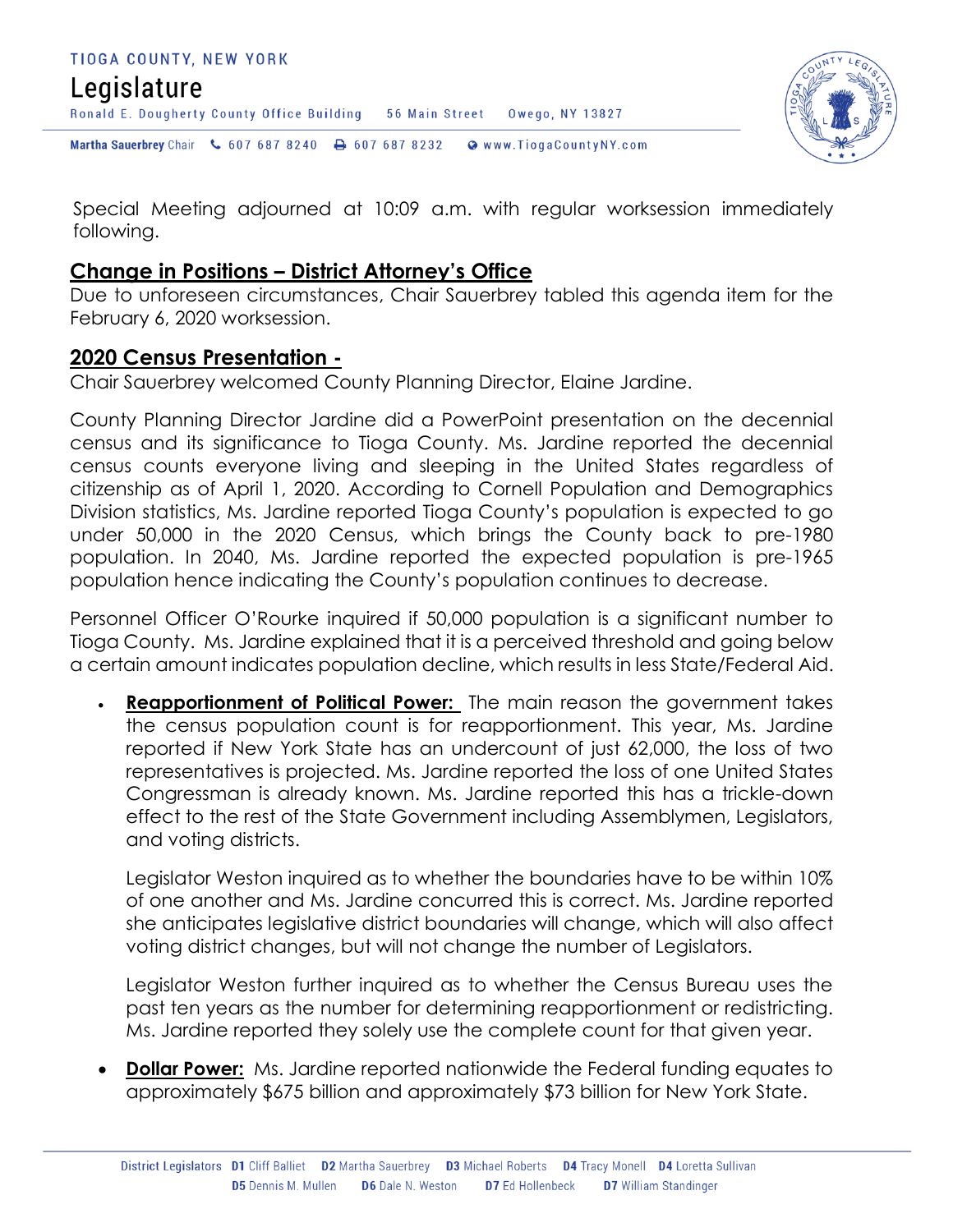### TIOGA COUNTY, NEW YORK Legislature Ronald E. Dougherty County Office Building 56 Main Street Owego, NY 13827 Martha Sauerbrey Chair & 607 687 8240 <a>B</a>607 687 8232 <a>B</a>Www.TiogaCountyNY.com



Special Meeting adjourned at 10:09 a.m. with regular worksession immediately following.

#### **Change in Positions – District Attorney's Office**

Due to unforeseen circumstances, Chair Sauerbrey tabled this agenda item for the February 6, 2020 worksession.

#### **2020 Census Presentation -**

Chair Sauerbrey welcomed County Planning Director, Elaine Jardine.

County Planning Director Jardine did a PowerPoint presentation on the decennial census and its significance to Tioga County. Ms. Jardine reported the decennial census counts everyone living and sleeping in the United States regardless of citizenship as of April 1, 2020. According to Cornell Population and Demographics Division statistics, Ms. Jardine reported Tioga County's population is expected to go under 50,000 in the 2020 Census, which brings the County back to pre-1980 population. In 2040, Ms. Jardine reported the expected population is pre-1965 population hence indicating the County's population continues to decrease.

Personnel Officer O'Rourke inquired if 50,000 population is a significant number to Tioga County. Ms. Jardine explained that it is a perceived threshold and going below a certain amount indicates population decline, which results in less State/Federal Aid.

 **Reapportionment of Political Power:** The main reason the government takes the census population count is for reapportionment. This year, Ms. Jardine reported if New York State has an undercount of just 62,000, the loss of two representatives is projected. Ms. Jardine reported the loss of one United States Congressman is already known. Ms. Jardine reported this has a trickle-down effect to the rest of the State Government including Assemblymen, Legislators, and voting districts.

Legislator Weston inquired as to whether the boundaries have to be within 10% of one another and Ms. Jardine concurred this is correct. Ms. Jardine reported she anticipates legislative district boundaries will change, which will also affect voting district changes, but will not change the number of Legislators.

Legislator Weston further inquired as to whether the Census Bureau uses the past ten years as the number for determining reapportionment or redistricting. Ms. Jardine reported they solely use the complete count for that given year.

**Dollar Power:** Ms. Jardine reported nationwide the Federal funding equates to approximately \$675 billion and approximately \$73 billion for New York State.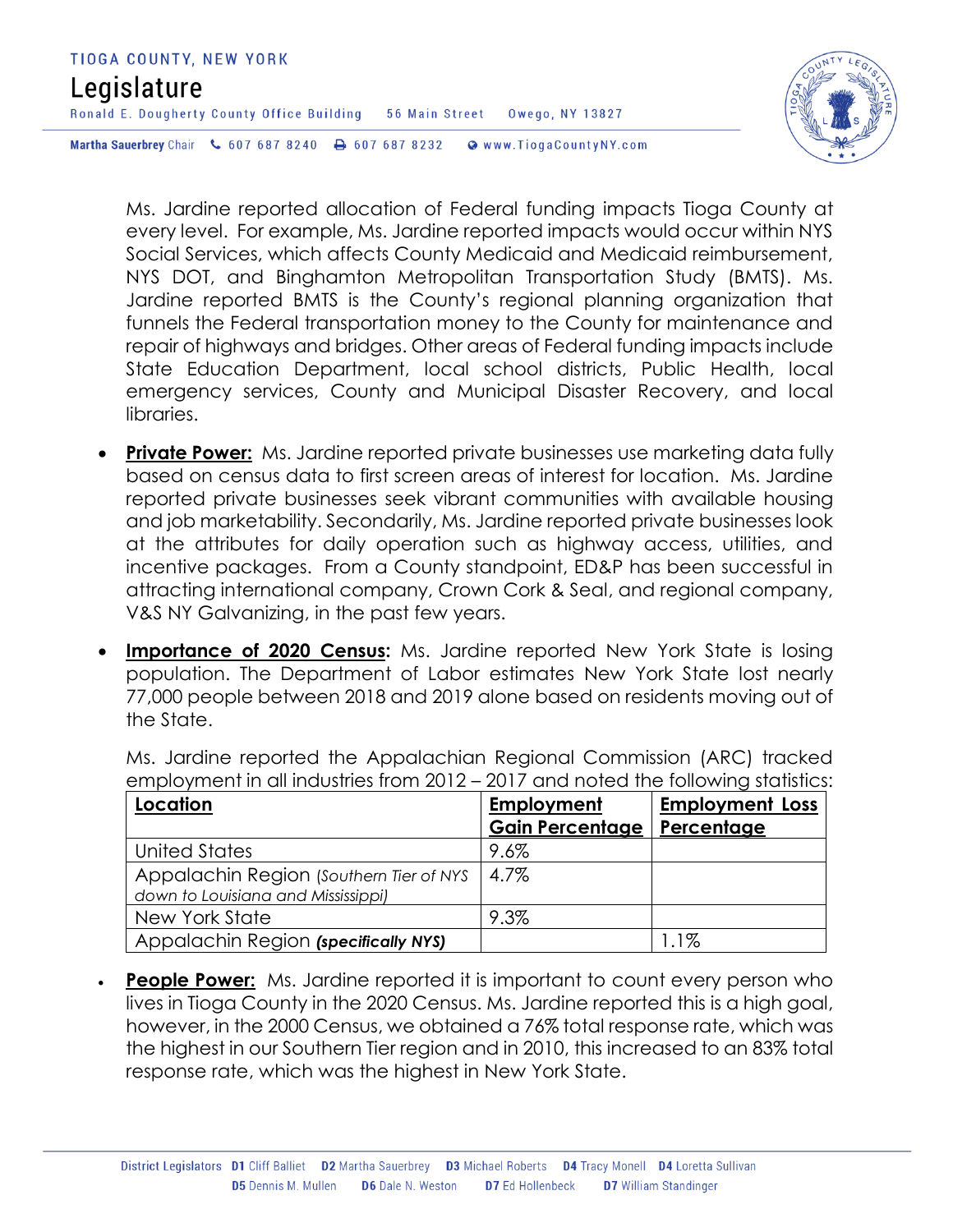| TIOGA COUNTY, NEW YORK                                                      |  |                       |                       |
|-----------------------------------------------------------------------------|--|-----------------------|-----------------------|
| Legislature                                                                 |  |                       |                       |
| Ronald E. Dougherty County Office Building                                  |  | <b>56 Main Street</b> | Owego, NY 13827       |
| <b>Martha Sauerbrey</b> Chair $\binom{6}{5076878240}$ <b>B</b> 607 687 8232 |  |                       | Www.TiogaCountyNY.com |



Ms. Jardine reported allocation of Federal funding impacts Tioga County at every level. For example, Ms. Jardine reported impacts would occur within NYS Social Services, which affects County Medicaid and Medicaid reimbursement, NYS DOT, and Binghamton Metropolitan Transportation Study (BMTS). Ms. Jardine reported BMTS is the County's regional planning organization that funnels the Federal transportation money to the County for maintenance and repair of highways and bridges. Other areas of Federal funding impacts include State Education Department, local school districts, Public Health, local emergency services, County and Municipal Disaster Recovery, and local libraries.

- **Private Power:** Ms. Jardine reported private businesses use marketing data fully based on census data to first screen areas of interest for location. Ms. Jardine reported private businesses seek vibrant communities with available housing and job marketability. Secondarily, Ms. Jardine reported private businesses look at the attributes for daily operation such as highway access, utilities, and incentive packages. From a County standpoint, ED&P has been successful in attracting international company, Crown Cork & Seal, and regional company, V&S NY Galvanizing, in the past few years.
- **Importance of 2020 Census:** Ms. Jardine reported New York State is losing population. The Department of Labor estimates New York State lost nearly 77,000 people between 2018 and 2019 alone based on residents moving out of the State.

Ms. Jardine reported the Appalachian Regional Commission (ARC) tracked employment in all industries from 2012 – 2017 and noted the following statistics:

| Location                                                                      | <b>Employment</b>      | <b>Employment Loss</b> |
|-------------------------------------------------------------------------------|------------------------|------------------------|
|                                                                               | <b>Gain Percentage</b> | Percentage             |
| United States                                                                 | 9.6%                   |                        |
| Appalachin Region (Southern Tier of NYS<br>down to Louisiana and Mississippi) | 4.7%                   |                        |
| New York State                                                                | 9.3%                   |                        |
| Appalachin Region (specifically NYS)                                          |                        | 1.1%                   |

**People Power:** Ms. Jardine reported it is important to count every person who lives in Tioga County in the 2020 Census. Ms. Jardine reported this is a high goal, however, in the 2000 Census, we obtained a 76% total response rate, which was the highest in our Southern Tier region and in 2010, this increased to an 83% total response rate, which was the highest in New York State.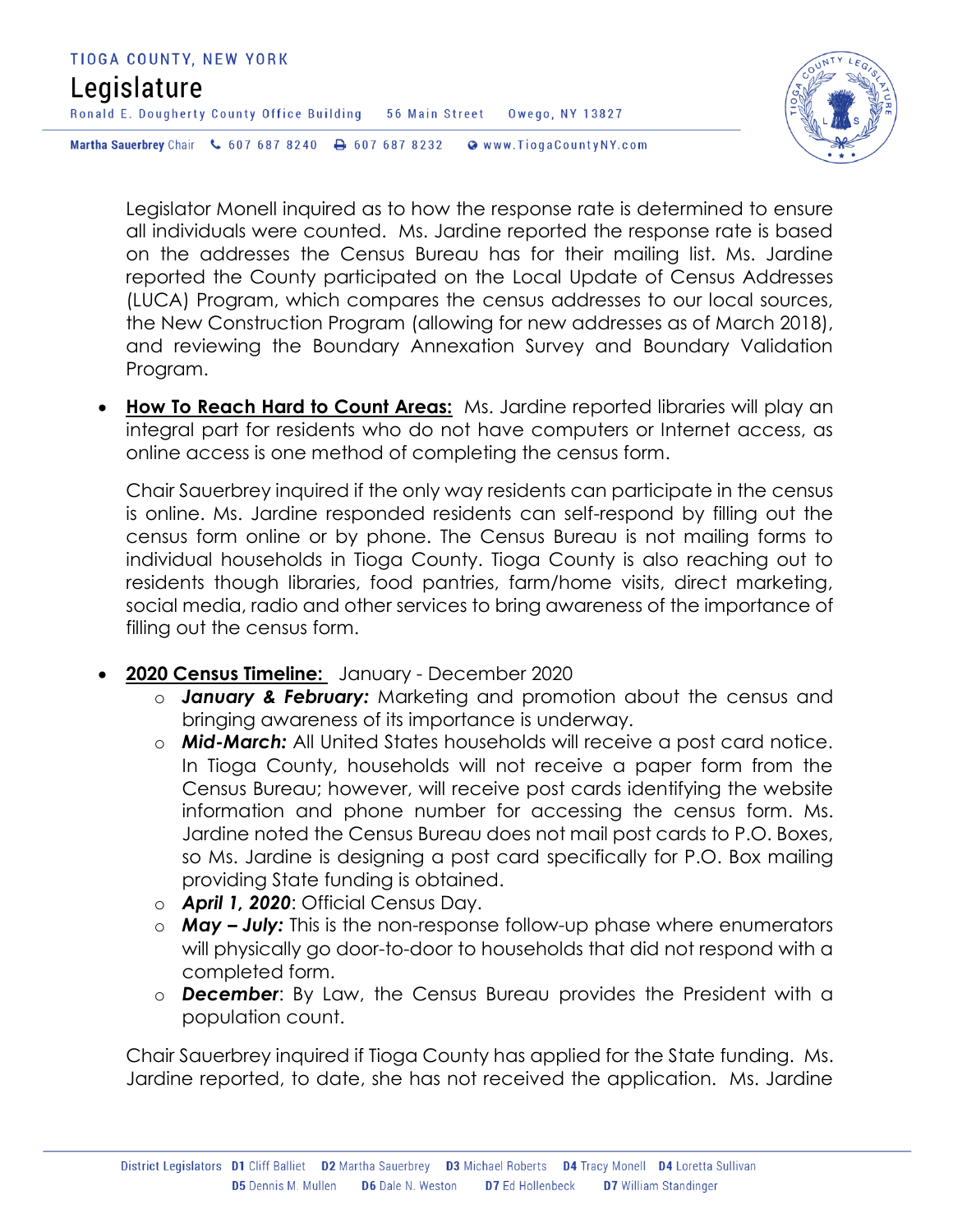

Legislator Monell inquired as to how the response rate is determined to ensure all individuals were counted. Ms. Jardine reported the response rate is based on the addresses the Census Bureau has for their mailing list. Ms. Jardine reported the County participated on the Local Update of Census Addresses (LUCA) Program, which compares the census addresses to our local sources, the New Construction Program (allowing for new addresses as of March 2018), and reviewing the Boundary Annexation Survey and Boundary Validation Program.

 **How To Reach Hard to Count Areas:** Ms. Jardine reported libraries will play an integral part for residents who do not have computers or Internet access, as online access is one method of completing the census form.

Chair Sauerbrey inquired if the only way residents can participate in the census is online. Ms. Jardine responded residents can self-respond by filling out the census form online or by phone. The Census Bureau is not mailing forms to individual households in Tioga County. Tioga County is also reaching out to residents though libraries, food pantries, farm/home visits, direct marketing, social media, radio and other services to bring awareness of the importance of filling out the census form.

- **2020 Census Timeline:** January December 2020
	- o *January & February:* Marketing and promotion about the census and bringing awareness of its importance is underway.
	- o *Mid-March:* All United States households will receive a post card notice. In Tioga County, households will not receive a paper form from the Census Bureau; however, will receive post cards identifying the website information and phone number for accessing the census form. Ms. Jardine noted the Census Bureau does not mail post cards to P.O. Boxes, so Ms. Jardine is designing a post card specifically for P.O. Box mailing providing State funding is obtained.
	- o *April 1, 2020*: Official Census Day.
	- o *May – July:* This is the non-response follow-up phase where enumerators will physically go door-to-door to households that did not respond with a completed form.
	- o *December*: By Law, the Census Bureau provides the President with a population count.

Chair Sauerbrey inquired if Tioga County has applied for the State funding. Ms. Jardine reported, to date, she has not received the application. Ms. Jardine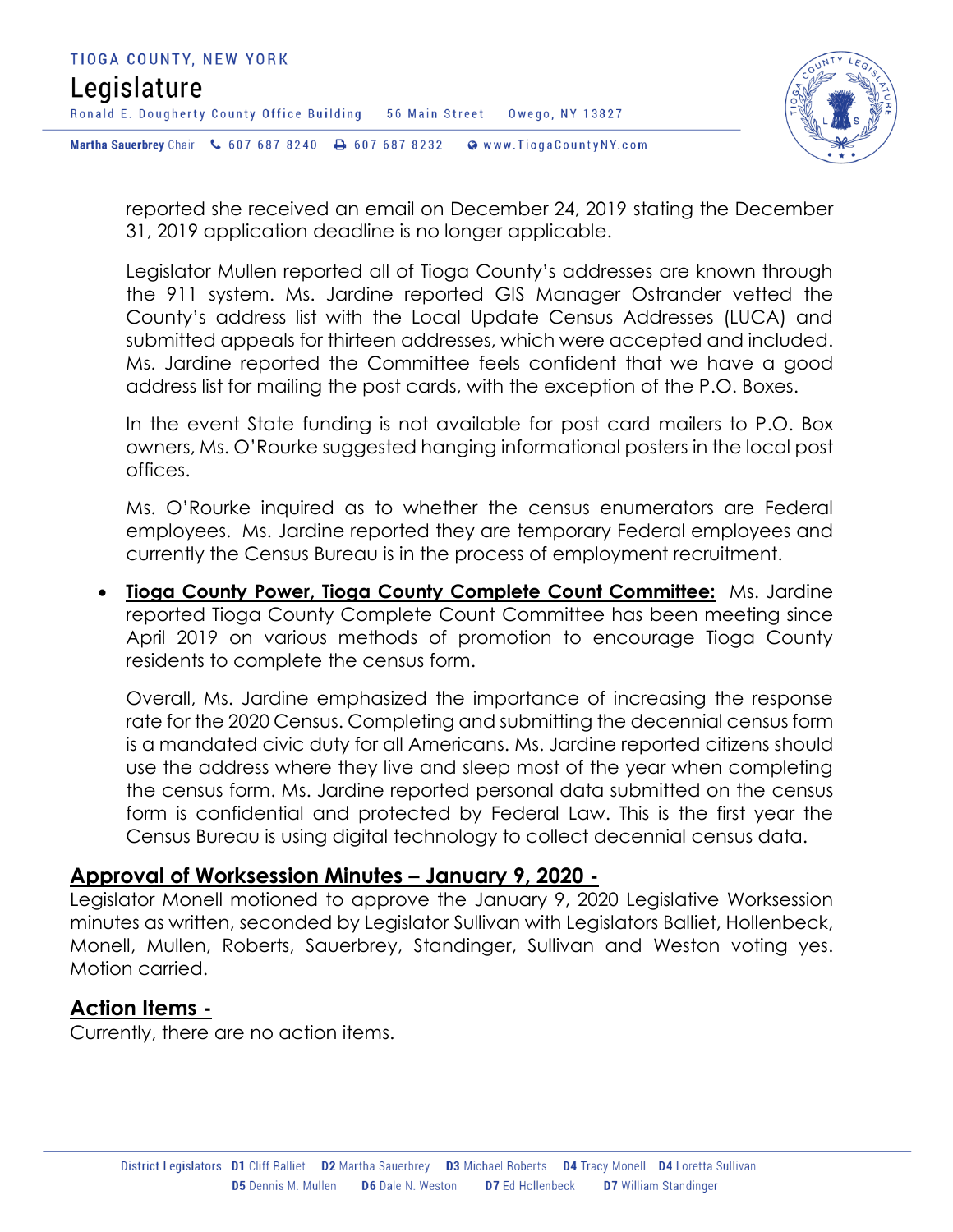

reported she received an email on December 24, 2019 stating the December 31, 2019 application deadline is no longer applicable.

Legislator Mullen reported all of Tioga County's addresses are known through the 911 system. Ms. Jardine reported GIS Manager Ostrander vetted the County's address list with the Local Update Census Addresses (LUCA) and submitted appeals for thirteen addresses, which were accepted and included. Ms. Jardine reported the Committee feels confident that we have a good address list for mailing the post cards, with the exception of the P.O. Boxes.

In the event State funding is not available for post card mailers to P.O. Box owners, Ms. O'Rourke suggested hanging informational posters in the local post offices.

Ms. O'Rourke inquired as to whether the census enumerators are Federal employees. Ms. Jardine reported they are temporary Federal employees and currently the Census Bureau is in the process of employment recruitment.

 **Tioga County Power, Tioga County Complete Count Committee:** Ms. Jardine reported Tioga County Complete Count Committee has been meeting since April 2019 on various methods of promotion to encourage Tioga County residents to complete the census form.

Overall, Ms. Jardine emphasized the importance of increasing the response rate for the 2020 Census. Completing and submitting the decennial census form is a mandated civic duty for all Americans. Ms. Jardine reported citizens should use the address where they live and sleep most of the year when completing the census form. Ms. Jardine reported personal data submitted on the census form is confidential and protected by Federal Law. This is the first year the Census Bureau is using digital technology to collect decennial census data.

#### **Approval of Worksession Minutes – January 9, 2020 -**

Legislator Monell motioned to approve the January 9, 2020 Legislative Worksession minutes as written, seconded by Legislator Sullivan with Legislators Balliet, Hollenbeck, Monell, Mullen, Roberts, Sauerbrey, Standinger, Sullivan and Weston voting yes. Motion carried.

#### **Action Items -**

Currently, there are no action items.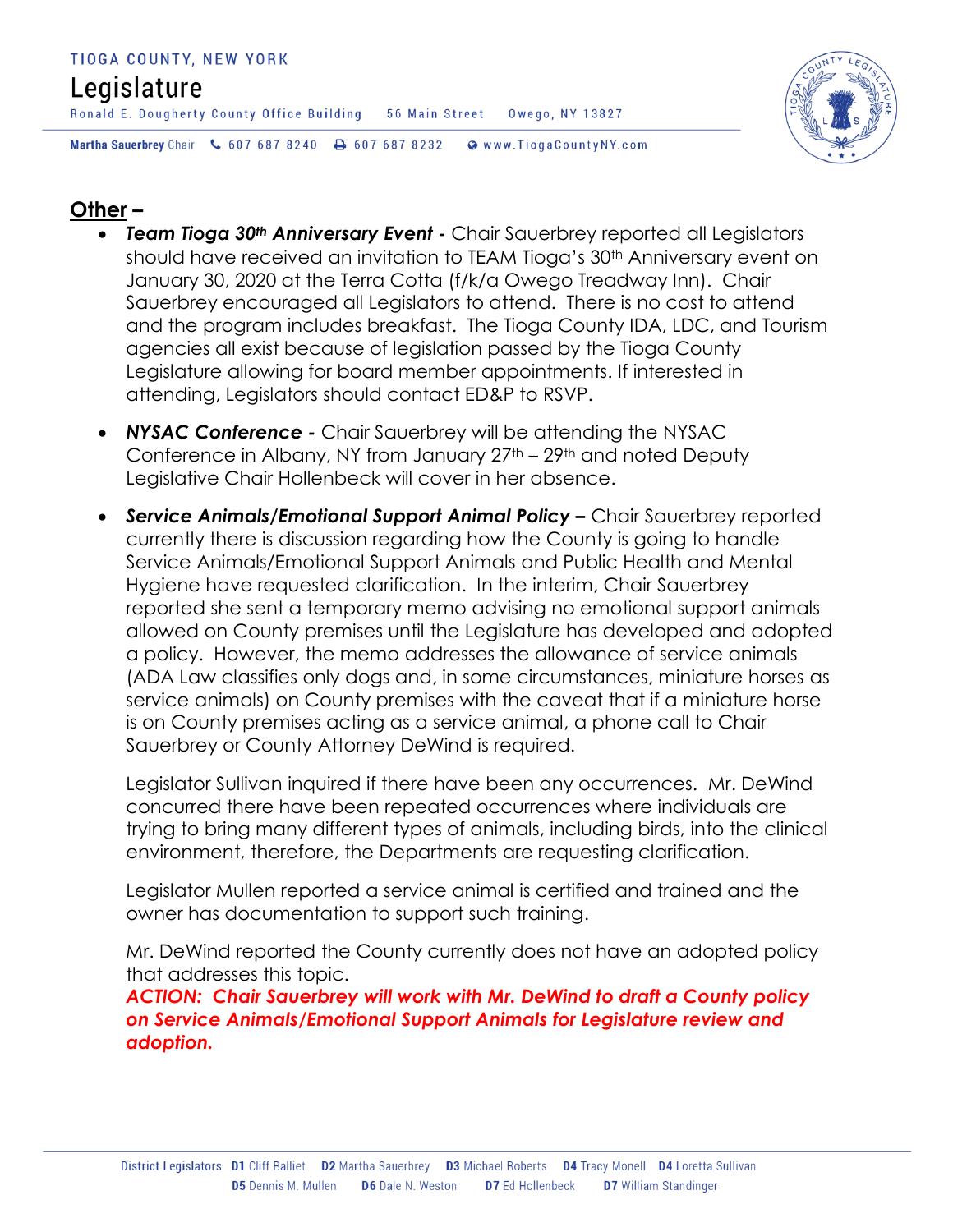#### TIOGA COUNTY, NEW YORK

# Legislature

Ronald E. Dougherty County Office Building 56 Main Street Owego, NY 13827

Martha Sauerbrey Chair & 607 687 8240 A 607 687 8232 @ www.TiogaCountyNY.com



#### **Other –**

- *Team Tioga 30th Anniversary Event -* Chair Sauerbrey reported all Legislators should have received an invitation to TEAM Tioga's 30<sup>th</sup> Anniversary event on January 30, 2020 at the Terra Cotta (f/k/a Owego Treadway Inn). Chair Sauerbrey encouraged all Legislators to attend. There is no cost to attend and the program includes breakfast. The Tioga County IDA, LDC, and Tourism agencies all exist because of legislation passed by the Tioga County Legislature allowing for board member appointments. If interested in attending, Legislators should contact ED&P to RSVP.
- *NYSAC Conference -* Chair Sauerbrey will be attending the NYSAC Conference in Albany, NY from January 27th – 29th and noted Deputy Legislative Chair Hollenbeck will cover in her absence.
- **Service Animals/Emotional Support Animal Policy –** Chair Sauerbrey reported currently there is discussion regarding how the County is going to handle Service Animals/Emotional Support Animals and Public Health and Mental Hygiene have requested clarification. In the interim, Chair Sauerbrey reported she sent a temporary memo advising no emotional support animals allowed on County premises until the Legislature has developed and adopted a policy. However, the memo addresses the allowance of service animals (ADA Law classifies only dogs and, in some circumstances, miniature horses as service animals) on County premises with the caveat that if a miniature horse is on County premises acting as a service animal, a phone call to Chair Sauerbrey or County Attorney DeWind is required.

Legislator Sullivan inquired if there have been any occurrences. Mr. DeWind concurred there have been repeated occurrences where individuals are trying to bring many different types of animals, including birds, into the clinical environment, therefore, the Departments are requesting clarification.

Legislator Mullen reported a service animal is certified and trained and the owner has documentation to support such training.

Mr. DeWind reported the County currently does not have an adopted policy that addresses this topic.

*ACTION: Chair Sauerbrey will work with Mr. DeWind to draft a County policy on Service Animals/Emotional Support Animals for Legislature review and adoption.*